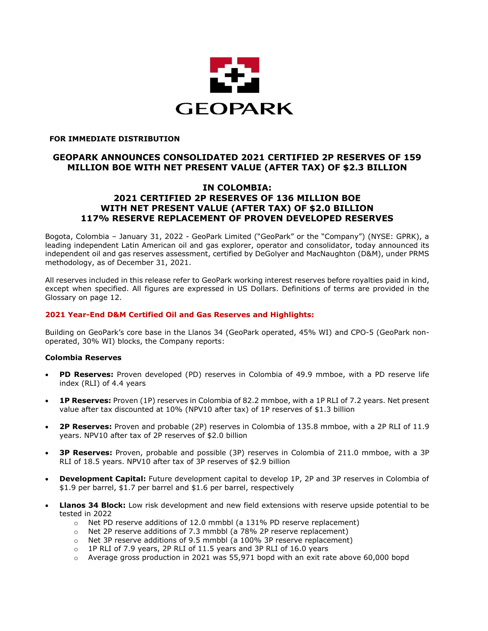

## **FOR IMMEDIATE DISTRIBUTION**

# **GEOPARK ANNOUNCES CONSOLIDATED 2021 CERTIFIED 2P RESERVES OF 159 MILLION BOE WITH NET PRESENT VALUE (AFTER TAX) OF \$2.3 BILLION**

# **IN COLOMBIA: 2021 CERTIFIED 2P RESERVES OF 136 MILLION BOE WITH NET PRESENT VALUE (AFTER TAX) OF \$2.0 BILLION 117% RESERVE REPLACEMENT OF PROVEN DEVELOPED RESERVES**

Bogota, Colombia – January 31, 2022 - GeoPark Limited ("GeoPark" or the "Company") (NYSE: GPRK), a leading independent Latin American oil and gas explorer, operator and consolidator, today announced its independent oil and gas reserves assessment, certified by DeGolyer and MacNaughton (D&M), under PRMS methodology, as of December 31, 2021.

All reserves included in this release refer to GeoPark working interest reserves before royalties paid in kind, except when specified. All figures are expressed in US Dollars. Definitions of terms are provided in the Glossary on page 12.

## **2021 Year-End D&M Certified Oil and Gas Reserves and Highlights:**

Building on GeoPark's core base in the Llanos 34 (GeoPark operated, 45% WI) and CPO-5 (GeoPark nonoperated, 30% WI) blocks, the Company reports:

#### **Colombia Reserves**

- **PD Reserves:** Proven developed (PD) reserves in Colombia of 49.9 mmboe, with a PD reserve life index (RLI) of 4.4 years
- **1P Reserves:** Proven (1P) reserves in Colombia of 82.2 mmboe, with a 1P RLI of 7.2 years. Net present value after tax discounted at 10% (NPV10 after tax) of 1P reserves of \$1.3 billion
- **2P Reserves:** Proven and probable (2P) reserves in Colombia of 135.8 mmboe, with a 2P RLI of 11.9 years. NPV10 after tax of 2P reserves of \$2.0 billion
- **3P Reserves:** Proven, probable and possible (3P) reserves in Colombia of 211.0 mmboe, with a 3P RLI of 18.5 years. NPV10 after tax of 3P reserves of \$2.9 billion
- **Development Capital:** Future development capital to develop 1P, 2P and 3P reserves in Colombia of \$1.9 per barrel, \$1.7 per barrel and \$1.6 per barrel, respectively
- **Llanos 34 Block:** Low risk development and new field extensions with reserve upside potential to be tested in 2022
	- o Net PD reserve additions of 12.0 mmbbl (a 131% PD reserve replacement)
	- o Net 2P reserve additions of 7.3 mmbbl (a 78% 2P reserve replacement)
	- o Net 3P reserve additions of 9.5 mmbbl (a 100% 3P reserve replacement)
	- o 1P RLI of 7.9 years, 2P RLI of 11.5 years and 3P RLI of 16.0 years
	- $\circ$  Average gross production in 2021 was 55,971 bopd with an exit rate above 60,000 bopd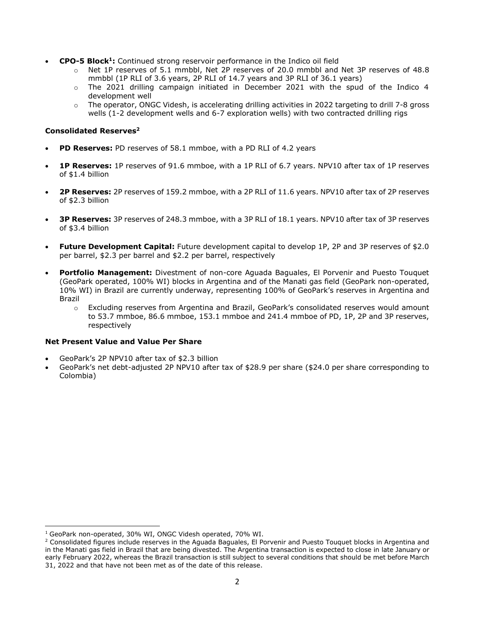- **CPO-5 Block<sup>1</sup>:** Continued strong reservoir performance in the Indico oil field
	- o Net 1P reserves of 5.1 mmbbl, Net 2P reserves of 20.0 mmbbl and Net 3P reserves of 48.8 mmbbl (1P RLI of 3.6 years, 2P RLI of 14.7 years and 3P RLI of 36.1 years)
	- $\circ$  The 2021 drilling campaign initiated in December 2021 with the spud of the Indico 4 development well
	- o The operator, ONGC Videsh, is accelerating drilling activities in 2022 targeting to drill 7-8 gross wells (1-2 development wells and 6-7 exploration wells) with two contracted drilling rigs

### **Consolidated Reserves<sup>2</sup>**

- **PD Reserves:** PD reserves of 58.1 mmboe, with a PD RLI of 4.2 years
- **1P Reserves:** 1P reserves of 91.6 mmboe, with a 1P RLI of 6.7 years. NPV10 after tax of 1P reserves of \$1.4 billion
- **2P Reserves:** 2P reserves of 159.2 mmboe, with a 2P RLI of 11.6 years. NPV10 after tax of 2P reserves of \$2.3 billion
- **3P Reserves:** 3P reserves of 248.3 mmboe, with a 3P RLI of 18.1 years. NPV10 after tax of 3P reserves of \$3.4 billion
- **Future Development Capital:** Future development capital to develop 1P, 2P and 3P reserves of \$2.0 per barrel, \$2.3 per barrel and \$2.2 per barrel, respectively
- **Portfolio Management:** Divestment of non-core Aguada Baguales, El Porvenir and Puesto Touquet (GeoPark operated, 100% WI) blocks in Argentina and of the Manati gas field (GeoPark non-operated, 10% WI) in Brazil are currently underway, representing 100% of GeoPark's reserves in Argentina and Brazil
	- o Excluding reserves from Argentina and Brazil, GeoPark's consolidated reserves would amount to 53.7 mmboe, 86.6 mmboe, 153.1 mmboe and 241.4 mmboe of PD, 1P, 2P and 3P reserves, respectively

## **Net Present Value and Value Per Share**

- GeoPark's 2P NPV10 after tax of \$2.3 billion
- GeoPark's net debt-adjusted 2P NPV10 after tax of \$28.9 per share (\$24.0 per share corresponding to Colombia)

<sup>&</sup>lt;sup>1</sup> GeoPark non-operated, 30% WI, ONGC Videsh operated, 70% WI.

<sup>&</sup>lt;sup>2</sup> Consolidated figures include reserves in the Aguada Baguales, El Porvenir and Puesto Touquet blocks in Argentina and in the Manati gas field in Brazil that are being divested. The Argentina transaction is expected to close in late January or early February 2022, whereas the Brazil transaction is still subject to several conditions that should be met before March 31, 2022 and that have not been met as of the date of this release.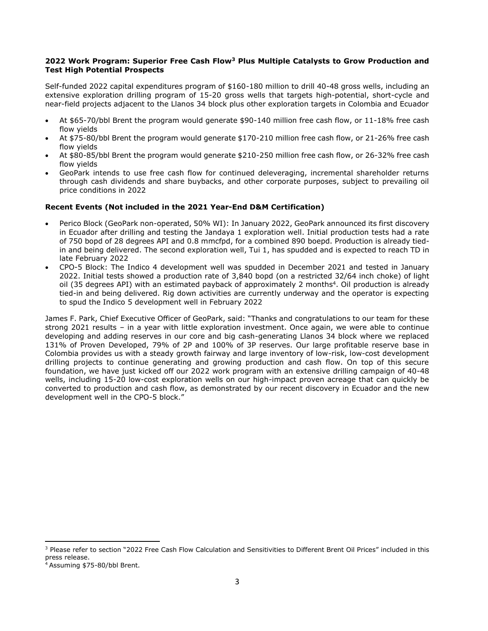### **2022 Work Program: Superior Free Cash Flow<sup>3</sup> Plus Multiple Catalysts to Grow Production and Test High Potential Prospects**

Self-funded 2022 capital expenditures program of \$160-180 million to drill 40-48 gross wells, including an extensive exploration drilling program of 15-20 gross wells that targets high-potential, short-cycle and near-field projects adjacent to the Llanos 34 block plus other exploration targets in Colombia and Ecuador

- At \$65-70/bbl Brent the program would generate \$90-140 million free cash flow, or 11-18% free cash flow yields
- At \$75-80/bbl Brent the program would generate \$170-210 million free cash flow, or 21-26% free cash flow yields
- At \$80-85/bbl Brent the program would generate \$210-250 million free cash flow, or 26-32% free cash flow yields
- GeoPark intends to use free cash flow for continued deleveraging, incremental shareholder returns through cash dividends and share buybacks, and other corporate purposes, subject to prevailing oil price conditions in 2022

## **Recent Events (Not included in the 2021 Year-End D&M Certification)**

- Perico Block (GeoPark non-operated, 50% WI): In January 2022, GeoPark announced its first discovery in Ecuador after drilling and testing the Jandaya 1 exploration well. Initial production tests had a rate of 750 bopd of 28 degrees API and 0.8 mmcfpd, for a combined 890 boepd. Production is already tiedin and being delivered. The second exploration well, Tui 1, has spudded and is expected to reach TD in late February 2022
- CPO-5 Block: The Indico 4 development well was spudded in December 2021 and tested in January 2022. Initial tests showed a production rate of 3,840 bopd (on a restricted 32/64 inch choke) of light oil (35 degrees API) with an estimated payback of approximately 2 months<sup>4</sup>. Oil production is already tied-in and being delivered. Rig down activities are currently underway and the operator is expecting to spud the Indico 5 development well in February 2022

James F. Park, Chief Executive Officer of GeoPark, said: "Thanks and congratulations to our team for these strong 2021 results – in a year with little exploration investment. Once again, we were able to continue developing and adding reserves in our core and big cash-generating Llanos 34 block where we replaced 131% of Proven Developed, 79% of 2P and 100% of 3P reserves. Our large profitable reserve base in Colombia provides us with a steady growth fairway and large inventory of low-risk, low-cost development drilling projects to continue generating and growing production and cash flow. On top of this secure foundation, we have just kicked off our 2022 work program with an extensive drilling campaign of 40-48 wells, including 15-20 low-cost exploration wells on our high-impact proven acreage that can quickly be converted to production and cash flow, as demonstrated by our recent discovery in Ecuador and the new development well in the CPO-5 block."

<sup>&</sup>lt;sup>3</sup> Please refer to section "2022 Free Cash Flow Calculation and Sensitivities to Different Brent Oil Prices" included in this press release.

<sup>4</sup> Assuming \$75-80/bbl Brent.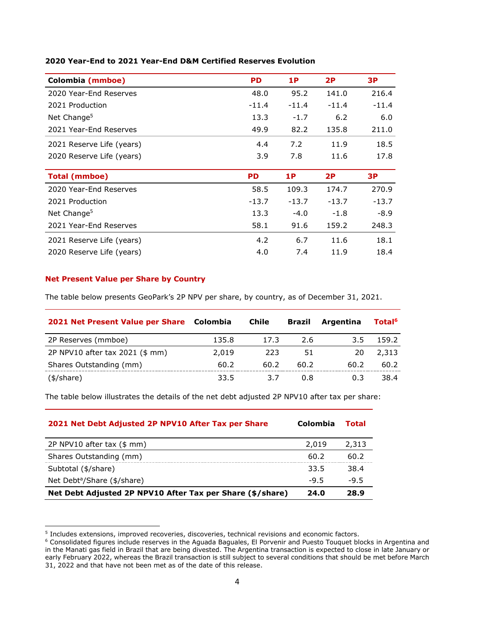| <b>Colombia (mmboe)</b>   | <b>PD</b> | 1P      | 2P      | 3P        |
|---------------------------|-----------|---------|---------|-----------|
| 2020 Year-End Reserves    | 48.0      | 95.2    | 141.0   | 216.4     |
| 2021 Production           | $-11.4$   | $-11.4$ | $-11.4$ | $-11.4$   |
| Net Change <sup>5</sup>   | 13.3      | $-1.7$  | 6.2     | 6.0       |
| 2021 Year-End Reserves    | 49.9      | 82.2    | 135.8   | 211.0     |
| 2021 Reserve Life (years) | 4.4       | 7.2     | 11.9    | 18.5      |
| 2020 Reserve Life (years) | 3.9       | 7.8     | 11.6    | 17.8      |
|                           |           |         |         |           |
| <b>Total (mmboe)</b>      | <b>PD</b> | 1P      | 2P      | <b>3P</b> |
| 2020 Year-End Reserves    | 58.5      | 109.3   | 174.7   | 270.9     |
| 2021 Production           | $-13.7$   | $-13.7$ | $-13.7$ | $-13.7$   |
| Net Change <sup>5</sup>   | 13.3      | $-4.0$  | $-1.8$  | $-8.9$    |
| 2021 Year-End Reserves    | 58.1      | 91.6    | 159.2   | 248.3     |
| 2021 Reserve Life (years) | 4.2       | 6.7     | 11.6    | 18.1      |

## **2020 Year-End to 2021 Year-End D&M Certified Reserves Evolution**

### **Net Present Value per Share by Country**

The table below presents GeoPark's 2P NPV per share, by country, as of December 31, 2021.

| 2021 Net Present Value per Share | Colombia | <b>Chile</b> | Brazil | Argentina | Total <sup>6</sup> |
|----------------------------------|----------|--------------|--------|-----------|--------------------|
| 2P Reserves (mmboe)              | 135.8    | 17.3         | 2.6    | 3.5       | 159.2              |
| 2P NPV10 after tax 2021 (\$ mm)  | 2,019    | 223          | 51     | 20        | 2,313              |
| Shares Outstanding (mm)          | 60.2     | 60.2         | 60.2   | 60.2      | 60.2               |
| $(\frac{\epsilon}{3})$ share)    | 33.5     | 3.7          | 0.8    | 0.3       | 38.4               |

The table below illustrates the details of the net debt adjusted 2P NPV10 after tax per share:

| 2021 Net Debt Adjusted 2P NPV10 After Tax per Share       | Colombia | Total  |
|-----------------------------------------------------------|----------|--------|
| 2P NPV10 after tax (\$ mm)                                | 2,019    | 2,313  |
| Shares Outstanding (mm)                                   | 60.2     | 60.2   |
| Subtotal (\$/share)                                       | 33.5     | 38.4   |
| Net Debt <sup>a</sup> /Share (\$/share)                   | $-9.5$   | $-9.5$ |
| Net Debt Adjusted 2P NPV10 After Tax per Share (\$/share) | 24.0     | 28.9   |

<sup>&</sup>lt;sup>5</sup> Includes extensions, improved recoveries, discoveries, technical revisions and economic factors.

<sup>6</sup> Consolidated figures include reserves in the Aguada Baguales, El Porvenir and Puesto Touquet blocks in Argentina and in the Manati gas field in Brazil that are being divested. The Argentina transaction is expected to close in late January or early February 2022, whereas the Brazil transaction is still subject to several conditions that should be met before March 31, 2022 and that have not been met as of the date of this release.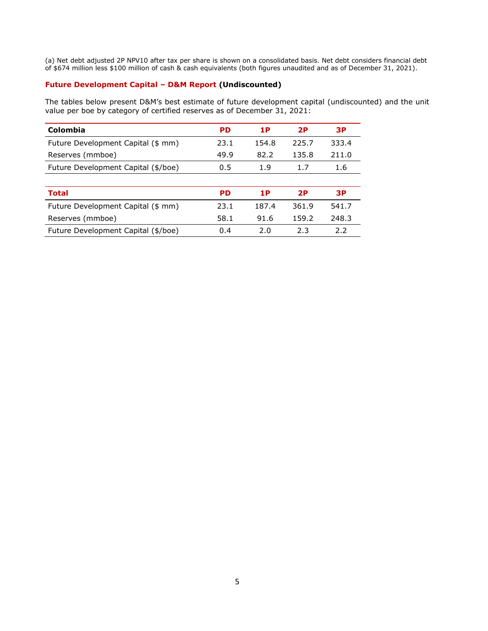(a) Net debt adjusted 2P NPV10 after tax per share is shown on a consolidated basis. Net debt considers financial debt of \$674 million less \$100 million of cash & cash equivalents (both figures unaudited and as of December 31, 2021).

## **Future Development Capital – D&M Report (Undiscounted)**

The tables below present D&M's best estimate of future development capital (undiscounted) and the unit value per boe by category of certified reserves as of December 31, 2021:

| <b>Colombia</b>                     | <b>PD</b> | 1P    | 2P    | 3P        |
|-------------------------------------|-----------|-------|-------|-----------|
| Future Development Capital (\$ mm)  | 23.1      | 154.8 | 225.7 | 333.4     |
| Reserves (mmboe)                    | 49.9      | 82.2  | 135.8 | 211.0     |
| Future Development Capital (\$/boe) | 0.5       | 1.9   | 1.7   | 1.6       |
|                                     |           |       |       |           |
| <b>Total</b>                        | <b>PD</b> | 1P    | 2P    | <b>3P</b> |
| Future Development Capital (\$ mm)  | 23.1      | 187.4 | 361.9 | 541.7     |
| Reserves (mmboe)                    | 58.1      | 91.6  | 159.2 | 248.3     |
| Future Development Capital (\$/boe) | 0.4       | 2.0   | 2.3   | 2.2       |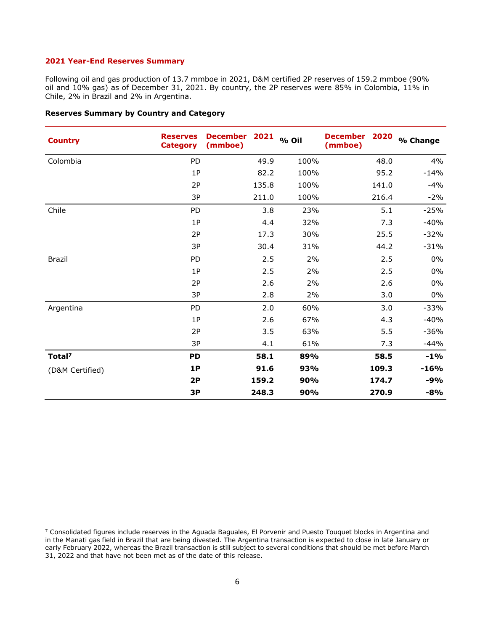## **2021 Year-End Reserves Summary**

Following oil and gas production of 13.7 mmboe in 2021, D&M certified 2P reserves of 159.2 mmboe (90% oil and 10% gas) as of December 31, 2021. By country, the 2P reserves were 85% in Colombia, 11% in Chile, 2% in Brazil and 2% in Argentina.

| <b>Country</b>     | <b>Reserves</b><br><b>Category</b> | December 2021<br>(mmboe) |       | % Oil | <b>December</b><br>(mmboe) | 2020  | % Change |
|--------------------|------------------------------------|--------------------------|-------|-------|----------------------------|-------|----------|
| Colombia           | <b>PD</b>                          |                          | 49.9  | 100%  |                            | 48.0  | 4%       |
|                    | 1P                                 |                          | 82.2  | 100%  |                            | 95.2  | $-14%$   |
|                    | 2P                                 |                          | 135.8 | 100%  |                            | 141.0 | $-4%$    |
|                    | 3P                                 |                          | 211.0 | 100%  |                            | 216.4 | $-2%$    |
| Chile              | PD                                 |                          | 3.8   | 23%   |                            | 5.1   | $-25%$   |
|                    | 1P                                 |                          | 4.4   | 32%   |                            | 7.3   | $-40%$   |
|                    | 2P                                 |                          | 17.3  | 30%   |                            | 25.5  | $-32%$   |
|                    | 3P                                 |                          | 30.4  | 31%   |                            | 44.2  | $-31%$   |
| <b>Brazil</b>      | <b>PD</b>                          |                          | 2.5   | 2%    |                            | 2.5   | 0%       |
|                    | 1P                                 |                          | 2.5   | 2%    |                            | 2.5   | $0\%$    |
|                    | 2P                                 |                          | 2.6   | 2%    |                            | 2.6   | 0%       |
|                    | 3P                                 |                          | 2.8   | 2%    |                            | 3.0   | $0\%$    |
| Argentina          | PD                                 |                          | 2.0   | 60%   |                            | 3.0   | $-33%$   |
|                    | 1P                                 |                          | 2.6   | 67%   |                            | 4.3   | $-40%$   |
|                    | 2P                                 |                          | 3.5   | 63%   |                            | 5.5   | $-36%$   |
|                    | 3P                                 |                          | 4.1   | 61%   |                            | 7.3   | $-44%$   |
| Total <sup>7</sup> | <b>PD</b>                          |                          | 58.1  | 89%   |                            | 58.5  | $-1\%$   |
| (D&M Certified)    | 1P                                 |                          | 91.6  | 93%   |                            | 109.3 | $-16%$   |
|                    | 2P                                 |                          | 159.2 | 90%   |                            | 174.7 | -9%      |
|                    | 3P                                 |                          | 248.3 | 90%   |                            | 270.9 | $-8%$    |

### **Reserves Summary by Country and Category**

<sup>7</sup> Consolidated figures include reserves in the Aguada Baguales, El Porvenir and Puesto Touquet blocks in Argentina and in the Manati gas field in Brazil that are being divested. The Argentina transaction is expected to close in late January or early February 2022, whereas the Brazil transaction is still subject to several conditions that should be met before March 31, 2022 and that have not been met as of the date of this release.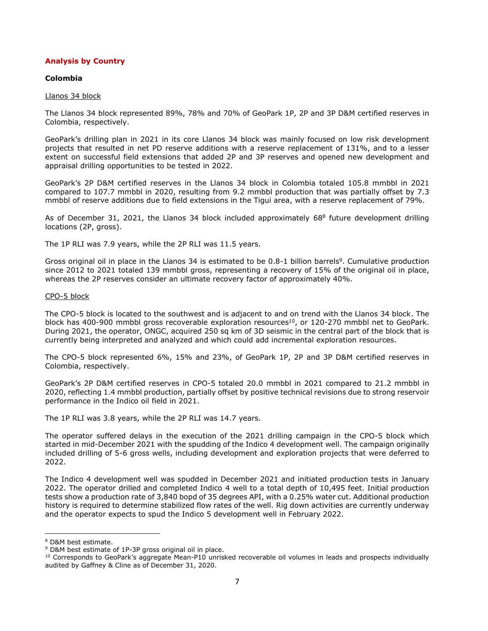## **Analysis by Country**

### **Colombia**

#### Llanos 34 block

The Llanos 34 block represented 89%, 78% and 70% of GeoPark 1P, 2P and 3P D&M certified reserves in Colombia, respectively.

GeoPark's drilling plan in 2021 in its core Llanos 34 block was mainly focused on low risk development projects that resulted in net PD reserve additions with a reserve replacement of 131%, and to a lesser extent on successful field extensions that added 2P and 3P reserves and opened new development and appraisal drilling opportunities to be tested in 2022.

GeoPark's 2P D&M certified reserves in the Llanos 34 block in Colombia totaled 105.8 mmbbl in 2021 compared to 107.7 mmbbl in 2020, resulting from 9.2 mmbbl production that was partially offset by 7.3 mmbbl of reserve additions due to field extensions in the Tigui area, with a reserve replacement of 79%.

As of December 31, 2021, the Llanos 34 block included approximately  $68^8$  future development drilling locations (2P, gross).

The 1P RLI was 7.9 years, while the 2P RLI was 11.5 years.

Gross original oil in place in the Llanos 34 is estimated to be 0.8-1 billion barrels<sup>9</sup>. Cumulative production since 2012 to 2021 totaled 139 mmbbl gross, representing a recovery of 15% of the original oil in place, whereas the 2P reserves consider an ultimate recovery factor of approximately 40%.

### CPO-5 block

The CPO-5 block is located to the southwest and is adjacent to and on trend with the Llanos 34 block. The block has 400-900 mmbbl gross recoverable exploration resources<sup>10</sup>, or 120-270 mmbbl net to GeoPark. During 2021, the operator, ONGC, acquired 250 sq km of 3D seismic in the central part of the block that is currently being interpreted and analyzed and which could add incremental exploration resources.

The CPO-5 block represented 6%, 15% and 23%, of GeoPark 1P, 2P and 3P D&M certified reserves in Colombia, respectively.

GeoPark's 2P D&M certified reserves in CPO-5 totaled 20.0 mmbbl in 2021 compared to 21.2 mmbbl in 2020, reflecting 1.4 mmbbl production, partially offset by positive technical revisions due to strong reservoir performance in the Indico oil field in 2021.

The 1P RLI was 3.8 years, while the 2P RLI was 14.7 years.

The operator suffered delays in the execution of the 2021 drilling campaign in the CPO-5 block which started in mid-December 2021 with the spudding of the Indico 4 development well. The campaign originally included drilling of 5-6 gross wells, including development and exploration projects that were deferred to 2022.

The Indico 4 development well was spudded in December 2021 and initiated production tests in January 2022. The operator drilled and completed Indico 4 well to a total depth of 10,495 feet. Initial production tests show a production rate of 3,840 bopd of 35 degrees API, with a 0.25% water cut. Additional production history is required to determine stabilized flow rates of the well. Rig down activities are currently underway and the operator expects to spud the Indico 5 development well in February 2022.

<sup>8</sup> D&M best estimate.

<sup>9</sup> D&M best estimate of 1P-3P gross original oil in place.

<sup>&</sup>lt;sup>10</sup> Corresponds to GeoPark's aggregate Mean-P10 unrisked recoverable oil volumes in leads and prospects individually audited by Gaffney & Cline as of December 31, 2020.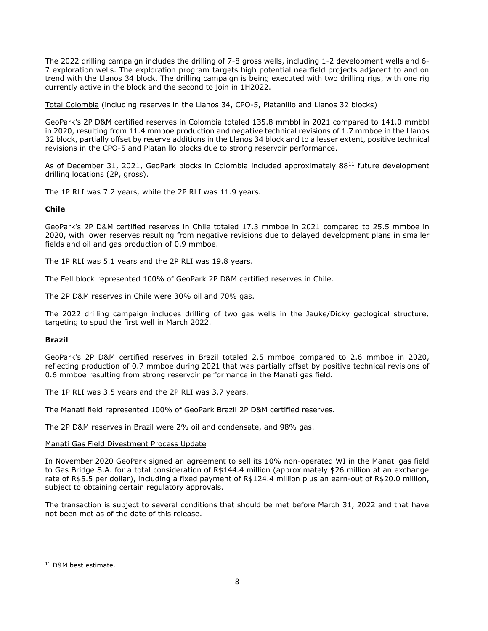The 2022 drilling campaign includes the drilling of 7-8 gross wells, including 1-2 development wells and 6- 7 exploration wells. The exploration program targets high potential nearfield projects adjacent to and on trend with the Llanos 34 block. The drilling campaign is being executed with two drilling rigs, with one rig currently active in the block and the second to join in 1H2022.

Total Colombia (including reserves in the Llanos 34, CPO-5, Platanillo and Llanos 32 blocks)

GeoPark's 2P D&M certified reserves in Colombia totaled 135.8 mmbbl in 2021 compared to 141.0 mmbbl in 2020, resulting from 11.4 mmboe production and negative technical revisions of 1.7 mmboe in the Llanos 32 block, partially offset by reserve additions in the Llanos 34 block and to a lesser extent, positive technical revisions in the CPO-5 and Platanillo blocks due to strong reservoir performance.

As of December 31, 2021, GeoPark blocks in Colombia included approximately 88<sup>11</sup> future development drilling locations (2P, gross).

The 1P RLI was 7.2 years, while the 2P RLI was 11.9 years.

## **Chile**

GeoPark's 2P D&M certified reserves in Chile totaled 17.3 mmboe in 2021 compared to 25.5 mmboe in 2020, with lower reserves resulting from negative revisions due to delayed development plans in smaller fields and oil and gas production of 0.9 mmboe.

The 1P RLI was 5.1 years and the 2P RLI was 19.8 years.

The Fell block represented 100% of GeoPark 2P D&M certified reserves in Chile.

The 2P D&M reserves in Chile were 30% oil and 70% gas.

The 2022 drilling campaign includes drilling of two gas wells in the Jauke/Dicky geological structure, targeting to spud the first well in March 2022.

## **Brazil**

GeoPark's 2P D&M certified reserves in Brazil totaled 2.5 mmboe compared to 2.6 mmboe in 2020, reflecting production of 0.7 mmboe during 2021 that was partially offset by positive technical revisions of 0.6 mmboe resulting from strong reservoir performance in the Manati gas field.

The 1P RLI was 3.5 years and the 2P RLI was 3.7 years.

The Manati field represented 100% of GeoPark Brazil 2P D&M certified reserves.

The 2P D&M reserves in Brazil were 2% oil and condensate, and 98% gas.

#### Manati Gas Field Divestment Process Update

In November 2020 GeoPark signed an agreement to sell its 10% non-operated WI in the Manati gas field to Gas Bridge S.A. for a total consideration of R\$144.4 million (approximately \$26 million at an exchange rate of R\$5.5 per dollar), including a fixed payment of R\$124.4 million plus an earn-out of R\$20.0 million, subject to obtaining certain regulatory approvals.

The transaction is subject to several conditions that should be met before March 31, 2022 and that have not been met as of the date of this release.

<sup>&</sup>lt;sup>11</sup> D&M best estimate.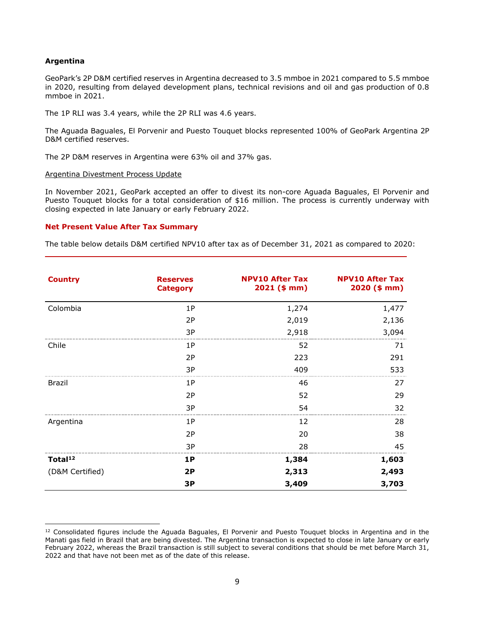#### **Argentina**

GeoPark's 2P D&M certified reserves in Argentina decreased to 3.5 mmboe in 2021 compared to 5.5 mmboe in 2020, resulting from delayed development plans, technical revisions and oil and gas production of 0.8 mmboe in 2021.

The 1P RLI was 3.4 years, while the 2P RLI was 4.6 years.

The Aguada Baguales, El Porvenir and Puesto Touquet blocks represented 100% of GeoPark Argentina 2P D&M certified reserves.

The 2P D&M reserves in Argentina were 63% oil and 37% gas.

#### Argentina Divestment Process Update

In November 2021, GeoPark accepted an offer to divest its non-core Aguada Baguales, El Porvenir and Puesto Touquet blocks for a total consideration of \$16 million. The process is currently underway with closing expected in late January or early February 2022.

#### **Net Present Value After Tax Summary**

The table below details D&M certified NPV10 after tax as of December 31, 2021 as compared to 2020:

| <b>Country</b>      | <b>Reserves</b><br><b>Category</b> | <b>NPV10 After Tax</b><br>$2021$ (\$ mm) | <b>NPV10 After Tax</b><br>$2020$ (\$ mm) |
|---------------------|------------------------------------|------------------------------------------|------------------------------------------|
| Colombia            | 1P                                 | 1,274                                    | 1,477                                    |
|                     | 2P                                 | 2,019                                    | 2,136                                    |
|                     | 3P                                 | 2,918                                    | 3,094                                    |
| Chile               | 1P                                 | 52                                       | 71                                       |
|                     | 2P                                 | 223                                      | 291                                      |
|                     | 3P                                 | 409                                      | 533                                      |
| <b>Brazil</b>       | 1P                                 | 46                                       | 27                                       |
|                     | 2P                                 | 52                                       | 29                                       |
|                     | 3P                                 | 54                                       | 32                                       |
| Argentina           | 1P                                 | 12                                       | 28                                       |
|                     | 2P                                 | 20                                       | 38                                       |
|                     | 3P                                 | 28                                       | 45                                       |
| Total <sup>12</sup> | 1P                                 | 1,384                                    | 1,603                                    |
| (D&M Certified)     | 2P                                 | 2,313                                    | 2,493                                    |
|                     | 3P                                 | 3,409                                    | 3,703                                    |

<sup>&</sup>lt;sup>12</sup> Consolidated figures include the Aguada Baguales, El Porvenir and Puesto Touquet blocks in Argentina and in the Manati gas field in Brazil that are being divested. The Argentina transaction is expected to close in late January or early February 2022, whereas the Brazil transaction is still subject to several conditions that should be met before March 31, 2022 and that have not been met as of the date of this release.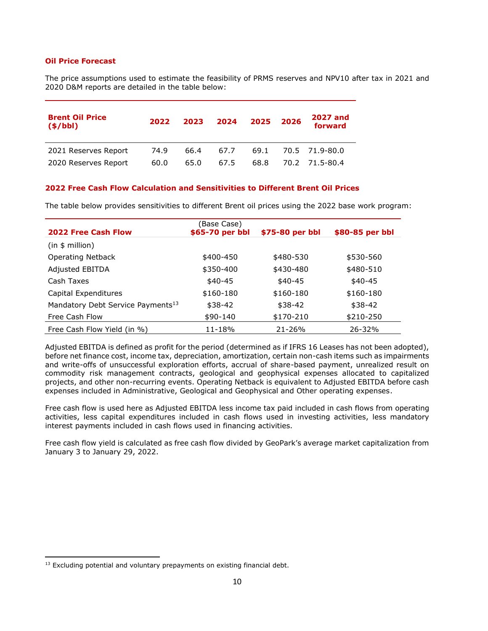## **Oil Price Forecast**

The price assumptions used to estimate the feasibility of PRMS reserves and NPV10 after tax in 2021 and 2020 D&M reports are detailed in the table below:

| <b>Brent Oil Price</b><br>$($ \$/bbl $)$ | 2022 | 2023 | 2024 2025 |      | 2026 | <b>2027 and</b><br>forward |
|------------------------------------------|------|------|-----------|------|------|----------------------------|
| 2021 Reserves Report                     | 74.9 | 66.4 | 67.7      | 69.1 |      | 70.5 71.9-80.0             |
| 2020 Reserves Report                     | 60.0 | 65.0 | 67.5      | 68.8 |      | 70.2 71.5-80.4             |

## **2022 Free Cash Flow Calculation and Sensitivities to Different Brent Oil Prices**

The table below provides sensitivities to different Brent oil prices using the 2022 base work program:

| <b>2022 Free Cash Flow</b>                    | (Base Case)<br>\$65-70 per bbl | \$75-80 per bbl | \$80-85 per bbl |
|-----------------------------------------------|--------------------------------|-----------------|-----------------|
| (in \$ million)                               |                                |                 |                 |
| <b>Operating Netback</b>                      | \$400-450                      | \$480-530       | \$530-560       |
| Adjusted EBITDA                               | \$350-400                      | \$430-480       | \$480-510       |
| Cash Taxes                                    | $$40-45$                       | $$40-45$        | $$40-45$        |
| Capital Expenditures                          | \$160-180                      | \$160-180       | \$160-180       |
| Mandatory Debt Service Payments <sup>13</sup> | $$38-42$                       | $$38-42$        | $$38-42$        |
| Free Cash Flow                                | $$90-140$                      | \$170-210       | \$210-250       |
| Free Cash Flow Yield (in %)                   | 11-18%                         | 21-26%          | 26-32%          |

Adjusted EBITDA is defined as profit for the period (determined as if IFRS 16 Leases has not been adopted), before net finance cost, income tax, depreciation, amortization, certain non-cash items such as impairments and write-offs of unsuccessful exploration efforts, accrual of share-based payment, unrealized result on commodity risk management contracts, geological and geophysical expenses allocated to capitalized projects, and other non-recurring events. Operating Netback is equivalent to Adjusted EBITDA before cash expenses included in Administrative, Geological and Geophysical and Other operating expenses.

Free cash flow is used here as Adjusted EBITDA less income tax paid included in cash flows from operating activities, less capital expenditures included in cash flows used in investing activities, less mandatory interest payments included in cash flows used in financing activities.

Free cash flow yield is calculated as free cash flow divided by GeoPark's average market capitalization from January 3 to January 29, 2022.

<sup>&</sup>lt;sup>13</sup> Excluding potential and voluntary prepayments on existing financial debt.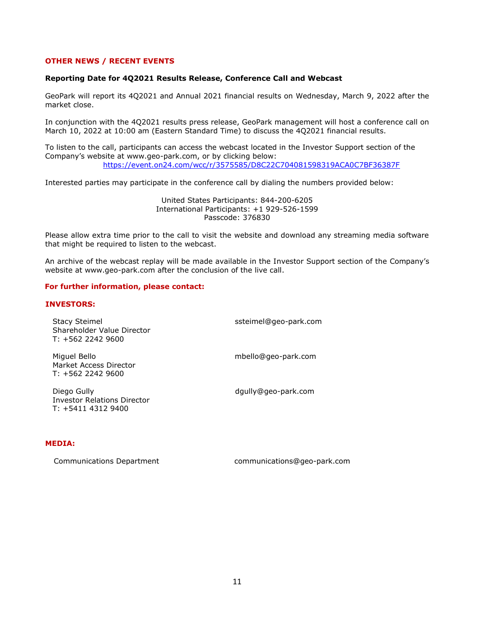## **OTHER NEWS / RECENT EVENTS**

### **Reporting Date for 4Q2021 Results Release, Conference Call and Webcast**

GeoPark will report its 4Q2021 and Annual 2021 financial results on Wednesday, March 9, 2022 after the market close.

In conjunction with the 4Q2021 results press release, GeoPark management will host a conference call on March 10, 2022 at 10:00 am (Eastern Standard Time) to discuss the 4Q2021 financial results.

To listen to the call, participants can access the webcast located in the Investor Support section of the Company's website at [www.geo-park.com,](http://www.geo-park.com/) or by clicking below: <https://event.on24.com/wcc/r/3575585/D8C22C704081598319ACA0C7BF36387F>

Interested parties may participate in the conference call by dialing the numbers provided below:

United States Participants: 844-200-6205 International Participants: +1 929-526-1599 Passcode: 376830

Please allow extra time prior to the call to visit the website and download any streaming media software that might be required to listen to the webcast.

An archive of the webcast replay will be made available in the Investor Support section of the Company's website at www.geo-park.com after the conclusion of the live call.

### **For further information, please contact:**

#### **INVESTORS:**

| <b>Stacy Steimel</b><br>Shareholder Value Director<br>$T: +56222429600$ | ssteimel@geo-park.com |
|-------------------------------------------------------------------------|-----------------------|
| Miguel Bello<br>Market Access Director<br>$T: +56222429600$             | mbello@geo-park.com   |
| Diego Gully<br><b>Investor Relations Director</b><br>$T: +541143129400$ | dgully@geo-park.com   |

### **MEDIA:**

Communications Department communication[s@geo-park.com](mailto:ssteimel@geo-park.com)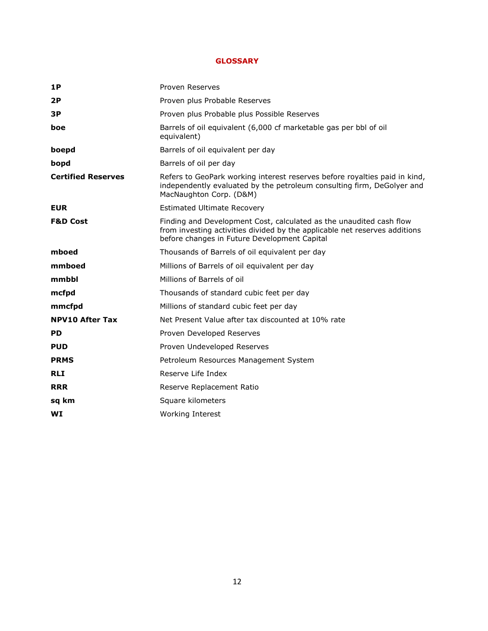## **GLOSSARY**

| <b>1P</b>                 | Proven Reserves                                                                                                                                                                                   |
|---------------------------|---------------------------------------------------------------------------------------------------------------------------------------------------------------------------------------------------|
| 2P                        | Proven plus Probable Reserves                                                                                                                                                                     |
| 3P                        | Proven plus Probable plus Possible Reserves                                                                                                                                                       |
| boe                       | Barrels of oil equivalent (6,000 cf marketable gas per bbl of oil<br>equivalent)                                                                                                                  |
| boepd                     | Barrels of oil equivalent per day                                                                                                                                                                 |
| bopd                      | Barrels of oil per day                                                                                                                                                                            |
| <b>Certified Reserves</b> | Refers to GeoPark working interest reserves before royalties paid in kind,<br>independently evaluated by the petroleum consulting firm, DeGolyer and<br>MacNaughton Corp. (D&M)                   |
| <b>EUR</b>                | <b>Estimated Ultimate Recovery</b>                                                                                                                                                                |
| <b>F&amp;D Cost</b>       | Finding and Development Cost, calculated as the unaudited cash flow<br>from investing activities divided by the applicable net reserves additions<br>before changes in Future Development Capital |
| mboed                     | Thousands of Barrels of oil equivalent per day                                                                                                                                                    |
| mmboed                    | Millions of Barrels of oil equivalent per day                                                                                                                                                     |
| mmbbl                     | Millions of Barrels of oil                                                                                                                                                                        |
| mcfpd                     | Thousands of standard cubic feet per day                                                                                                                                                          |
| mmcfpd                    | Millions of standard cubic feet per day                                                                                                                                                           |
| <b>NPV10 After Tax</b>    | Net Present Value after tax discounted at 10% rate                                                                                                                                                |
| <b>PD</b>                 | Proven Developed Reserves                                                                                                                                                                         |
| <b>PUD</b>                | Proven Undeveloped Reserves                                                                                                                                                                       |
| <b>PRMS</b>               | Petroleum Resources Management System                                                                                                                                                             |
| <b>RLI</b>                | Reserve Life Index                                                                                                                                                                                |
| <b>RRR</b>                | Reserve Replacement Ratio                                                                                                                                                                         |
| sq km                     | Square kilometers                                                                                                                                                                                 |
| <b>WI</b>                 | Working Interest                                                                                                                                                                                  |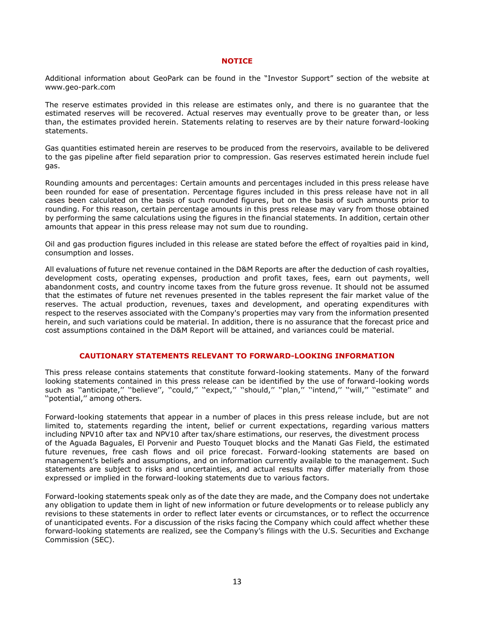#### **NOTICE**

Additional information about GeoPark can be found in the "Investor Support" section of the website at www.geo-park.com

The reserve estimates provided in this release are estimates only, and there is no guarantee that the estimated reserves will be recovered. Actual reserves may eventually prove to be greater than, or less than, the estimates provided herein. Statements relating to reserves are by their nature forward-looking statements.

Gas quantities estimated herein are reserves to be produced from the reservoirs, available to be delivered to the gas pipeline after field separation prior to compression. Gas reserves estimated herein include fuel gas.

Rounding amounts and percentages: Certain amounts and percentages included in this press release have been rounded for ease of presentation. Percentage figures included in this press release have not in all cases been calculated on the basis of such rounded figures, but on the basis of such amounts prior to rounding. For this reason, certain percentage amounts in this press release may vary from those obtained by performing the same calculations using the figures in the financial statements. In addition, certain other amounts that appear in this press release may not sum due to rounding.

Oil and gas production figures included in this release are stated before the effect of royalties paid in kind, consumption and losses.

All evaluations of future net revenue contained in the D&M Reports are after the deduction of cash royalties, development costs, operating expenses, production and profit taxes, fees, earn out payments, well abandonment costs, and country income taxes from the future gross revenue. It should not be assumed that the estimates of future net revenues presented in the tables represent the fair market value of the reserves. The actual production, revenues, taxes and development, and operating expenditures with respect to the reserves associated with the Company's properties may vary from the information presented herein, and such variations could be material. In addition, there is no assurance that the forecast price and cost assumptions contained in the D&M Report will be attained, and variances could be material.

#### **CAUTIONARY STATEMENTS RELEVANT TO FORWARD-LOOKING INFORMATION**

This press release contains statements that constitute forward-looking statements. Many of the forward looking statements contained in this press release can be identified by the use of forward-looking words such as "anticipate," "believe", "could," "expect," "should," "plan," "intend," "will," "estimate" and ''potential,'' among others.

Forward-looking statements that appear in a number of places in this press release include, but are not limited to, statements regarding the intent, belief or current expectations, regarding various matters including NPV10 after tax and NPV10 after tax/share estimations, our reserves, the divestment process of the Aguada Baguales, El Porvenir and Puesto Touquet blocks and the Manati Gas Field, the estimated future revenues, free cash flows and oil price forecast. Forward-looking statements are based on management's beliefs and assumptions, and on information currently available to the management. Such statements are subject to risks and uncertainties, and actual results may differ materially from those expressed or implied in the forward-looking statements due to various factors.

Forward-looking statements speak only as of the date they are made, and the Company does not undertake any obligation to update them in light of new information or future developments or to release publicly any revisions to these statements in order to reflect later events or circumstances, or to reflect the occurrence of unanticipated events. For a discussion of the risks facing the Company which could affect whether these forward-looking statements are realized, see the Company's filings with the U.S. Securities and Exchange Commission (SEC).